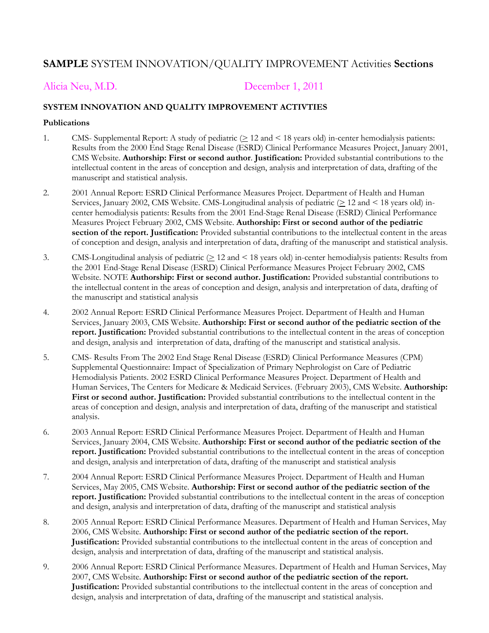# **SAMPLE** SYSTEM INNOVATION/QUALITY IMPROVEMENT Activities **Sections**

Alicia Neu, M.D. December 1, 2011

### **SYSTEM INNOVATION AND QUALITY IMPROVEMENT ACTIVTIES**

#### **Publications**

- 1. CMS- Supplemental Report: A study of pediatric  $( \geq 12 \text{ and } 18 \text{ years old})$  in-center hemodialysis patients: Results from the 2000 End Stage Renal Disease (ESRD) Clinical Performance Measures Project, January 2001, CMS Website. **Authorship: First or second author**. **Justification:** Provided substantial contributions to the intellectual content in the areas of conception and design, analysis and interpretation of data, drafting of the manuscript and statistical analysis.
- 2. 2001 Annual Report: ESRD Clinical Performance Measures Project. Department of Health and Human Services, January 2002, CMS Website. CMS-Longitudinal analysis of pediatric  $( \geq 12 \text{ and } \leq 18 \text{ years old})$  incenter hemodialysis patients: Results from the 2001 End-Stage Renal Disease (ESRD) Clinical Performance Measures Project February 2002, CMS Website. **Authorship: First or second author of the pediatric section of the report. Justification:** Provided substantial contributions to the intellectual content in the areas of conception and design, analysis and interpretation of data, drafting of the manuscript and statistical analysis.
- 3. CMS-Longitudinal analysis of pediatric  $( \geq 12 \text{ and } 18 \text{ years old})$  in-center hemodialysis patients: Results from the 2001 End-Stage Renal Disease (ESRD) Clinical Performance Measures Project February 2002, CMS Website. NOTE **Authorship: First or second author. Justification:** Provided substantial contributions to the intellectual content in the areas of conception and design, analysis and interpretation of data, drafting of the manuscript and statistical analysis
- 4. 2002 Annual Report: ESRD Clinical Performance Measures Project. Department of Health and Human Services, January 2003, CMS Website. **Authorship: First or second author of the pediatric section of the report. Justification:** Provided substantial contributions to the intellectual content in the areas of conception and design, analysis and interpretation of data, drafting of the manuscript and statistical analysis.
- 5. CMS- Results From The 2002 End Stage Renal Disease (ESRD) Clinical Performance Measures (CPM) Supplemental Questionnaire: Impact of Specialization of Primary Nephrologist on Care of Pediatric Hemodialysis Patients. 2002 ESRD Clinical Performance Measures Project. Department of Health and Human Services, The Centers for Medicare & Medicaid Services. (February 2003), CMS Website. **Authorship: First or second author. Justification:** Provided substantial contributions to the intellectual content in the areas of conception and design, analysis and interpretation of data, drafting of the manuscript and statistical analysis.
- 6. 2003 Annual Report: ESRD Clinical Performance Measures Project. Department of Health and Human Services, January 2004, CMS Website. **Authorship: First or second author of the pediatric section of the report. Justification:** Provided substantial contributions to the intellectual content in the areas of conception and design, analysis and interpretation of data, drafting of the manuscript and statistical analysis
- 7. 2004 Annual Report: ESRD Clinical Performance Measures Project. Department of Health and Human Services, May 2005, CMS Website. **Authorship: First or second author of the pediatric section of the report. Justification:** Provided substantial contributions to the intellectual content in the areas of conception and design, analysis and interpretation of data, drafting of the manuscript and statistical analysis
- 8. 2005 Annual Report: ESRD Clinical Performance Measures. Department of Health and Human Services, May 2006, CMS Website. **Authorship: First or second author of the pediatric section of the report. Justification:** Provided substantial contributions to the intellectual content in the areas of conception and design, analysis and interpretation of data, drafting of the manuscript and statistical analysis.
- 9. 2006 Annual Report: ESRD Clinical Performance Measures. Department of Health and Human Services, May 2007, CMS Website. **Authorship: First or second author of the pediatric section of the report. Justification:** Provided substantial contributions to the intellectual content in the areas of conception and design, analysis and interpretation of data, drafting of the manuscript and statistical analysis.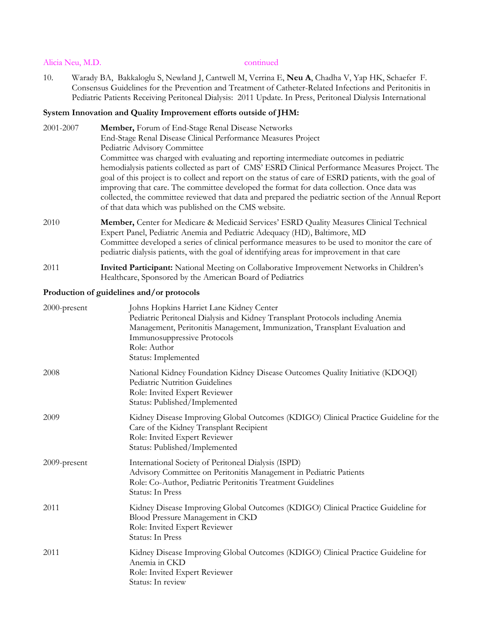#### Alicia Neu, M.D. continued

10. Warady BA, Bakkaloglu S, Newland J, Cantwell M, Verrina E, **Neu A**, Chadha V, Yap HK, Schaefer F. Consensus Guidelines for the Prevention and Treatment of Catheter-Related Infections and Peritonitis in Pediatric Patients Receiving Peritoneal Dialysis: 2011 Update. In Press, Peritoneal Dialysis International

### **System Innovation and Quality Improvement efforts outside of JHM:**

| 2001-2007 | Member, Forum of End-Stage Renal Disease Networks                                                                                                                                                                                                                                                                                                                                                                                                                      |
|-----------|------------------------------------------------------------------------------------------------------------------------------------------------------------------------------------------------------------------------------------------------------------------------------------------------------------------------------------------------------------------------------------------------------------------------------------------------------------------------|
|           | End-Stage Renal Disease Clinical Performance Measures Project                                                                                                                                                                                                                                                                                                                                                                                                          |
|           | Pediatric Advisory Committee                                                                                                                                                                                                                                                                                                                                                                                                                                           |
|           | Committee was charged with evaluating and reporting intermediate outcomes in pediatric                                                                                                                                                                                                                                                                                                                                                                                 |
|           | hemodialysis patients collected as part of CMS' ESRD Clinical Performance Measures Project. The<br>goal of this project is to collect and report on the status of care of ESRD patients, with the goal of<br>improving that care. The committee developed the format for data collection. Once data was<br>collected, the committee reviewed that data and prepared the pediatric section of the Annual Report<br>of that data which was published on the CMS website. |
| 2010      | Member, Center for Medicare & Medicaid Services' ESRD Quality Measures Clinical Technical<br>Expert Panel, Pediatric Anemia and Pediatric Adequacy (HD), Baltimore, MD<br>Committee developed a series of clinical performance measures to be used to monitor the care of<br>pediatric dialysis patients, with the goal of identifying areas for improvement in that care                                                                                              |
| 2011      | <b>Invited Participant:</b> National Meeting on Collaborative Improvement Networks in Children's                                                                                                                                                                                                                                                                                                                                                                       |

Healthcare, Sponsored by the American Board of Pediatrics

### **Production of guidelines and/or protocols**

| 2000-present | Johns Hopkins Harriet Lane Kidney Center<br>Pediatric Peritoneal Dialysis and Kidney Transplant Protocols including Anemia<br>Management, Peritonitis Management, Immunization, Transplant Evaluation and<br>Immunosuppressive Protocols<br>Role: Author<br>Status: Implemented |
|--------------|---------------------------------------------------------------------------------------------------------------------------------------------------------------------------------------------------------------------------------------------------------------------------------|
| 2008         | National Kidney Foundation Kidney Disease Outcomes Quality Initiative (KDOQI)<br>Pediatric Nutrition Guidelines<br>Role: Invited Expert Reviewer<br>Status: Published/Implemented                                                                                               |
| 2009         | Kidney Disease Improving Global Outcomes (KDIGO) Clinical Practice Guideline for the<br>Care of the Kidney Transplant Recipient<br>Role: Invited Expert Reviewer<br>Status: Published/Implemented                                                                               |
| 2009-present | International Society of Peritoneal Dialysis (ISPD)<br>Advisory Committee on Peritonitis Management in Pediatric Patients<br>Role: Co-Author, Pediatric Peritonitis Treatment Guidelines<br>Status: In Press                                                                    |
| 2011         | Kidney Disease Improving Global Outcomes (KDIGO) Clinical Practice Guideline for<br>Blood Pressure Management in CKD<br>Role: Invited Expert Reviewer<br>Status: In Press                                                                                                       |
| 2011         | Kidney Disease Improving Global Outcomes (KDIGO) Clinical Practice Guideline for<br>Anemia in CKD<br>Role: Invited Expert Reviewer<br>Status: In review                                                                                                                         |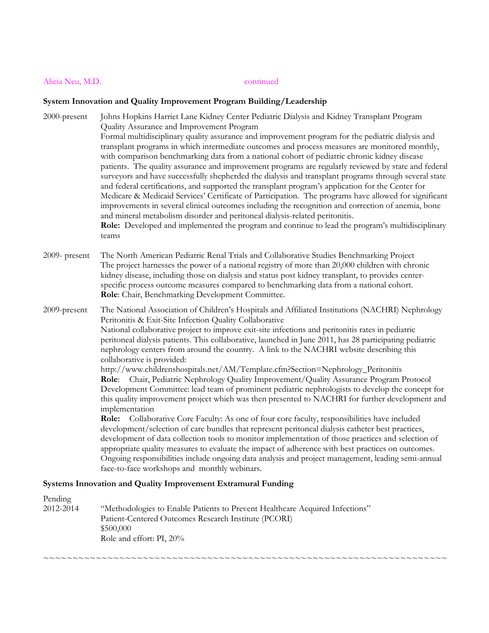# Alicia Neu, M.D. continued

# System Innovation and Quality Improvement Program Building/Leadership<br>
<sup>2000</sup> areas in **Little Little Little and Cuality International Program**

| 2000-present<br>$2009$ - present | Johns Hopkins Harriet Lane Kidney Center Pediatric Dialysis and Kidney Transplant Program<br>Quality Assurance and Improvement Program<br>Formal multidisciplinary quality assurance and improvement program for the pediatric dialysis and<br>transplant programs in which intermediate outcomes and process measures are monitored monthly,<br>with comparison benchmarking data from a national cohort of pediatric chronic kidney disease<br>patients. The quality assurance and improvement programs are regularly reviewed by state and federal<br>surveyors and have successfully shepherded the dialysis and transplant programs through several state<br>and federal certifications, and supported the transplant program's application for the Center for<br>Medicare & Medicaid Services' Certificate of Participation. The programs have allowed for significant<br>improvements in several clinical outcomes including the recognition and correction of anemia, bone<br>and mineral metabolism disorder and peritoneal dialysis-related peritonitis.<br>Role: Developed and implemented the program and continue to lead the program's multidisciplinary<br>teams<br>The North American Pediatric Renal Trials and Collaborative Studies Benchmarking Project                                                                                                                                                                                                           |
|----------------------------------|---------------------------------------------------------------------------------------------------------------------------------------------------------------------------------------------------------------------------------------------------------------------------------------------------------------------------------------------------------------------------------------------------------------------------------------------------------------------------------------------------------------------------------------------------------------------------------------------------------------------------------------------------------------------------------------------------------------------------------------------------------------------------------------------------------------------------------------------------------------------------------------------------------------------------------------------------------------------------------------------------------------------------------------------------------------------------------------------------------------------------------------------------------------------------------------------------------------------------------------------------------------------------------------------------------------------------------------------------------------------------------------------------------------------------------------------------------------------------------------|
|                                  | The project harnesses the power of a national registry of more than 20,000 children with chronic<br>kidney disease, including those on dialysis and status post kidney transplant, to provides center-<br>specific process outcome measures compared to benchmarking data from a national cohort.<br>Role: Chair, Benchmarking Development Committee.                                                                                                                                                                                                                                                                                                                                                                                                                                                                                                                                                                                                                                                                                                                                                                                                                                                                                                                                                                                                                                                                                                                                 |
| 2009-present                     | The National Association of Children's Hospitals and Affiliated Institutions (NACHRI) Nephrology<br>Peritonitis & Exit-Site Infection Quality Collaborative<br>National collaborative project to improve exit-site infections and peritonitis rates in pediatric<br>peritoneal dialysis patients. This collaborative, launched in June 2011, has 28 participating pediatric<br>nephrology centers from around the country. A link to the NACHRI website describing this<br>collaborative is provided:<br>http://www.childrenshospitals.net/AM/Template.cfm?Section=Nephrology_Peritonitis<br>Role: Chair, Pediatric Nephrology Quality Improvement/Quality Assurance Program Protocol<br>Development Committee: lead team of prominent pediatric nephrologists to develop the concept for<br>this quality improvement project which was then presented to NACHRI for further development and<br>implementation<br>Role: Collaborative Core Faculty: As one of four core faculty, responsibilities have included<br>development/selection of care bundles that represent peritoneal dialysis catheter best practices,<br>development of data collection tools to monitor implementation of those practices and selection of<br>appropriate quality measures to evaluate the impact of adherence with best practices on outcomes.<br>Ongoing responsibilities include ongoing data analysis and project management, leading semi-annual<br>face-to-face workshops and monthly webinars. |
|                                  | Systems Innovation and Quality Improvement Extramural Funding                                                                                                                                                                                                                                                                                                                                                                                                                                                                                                                                                                                                                                                                                                                                                                                                                                                                                                                                                                                                                                                                                                                                                                                                                                                                                                                                                                                                                         |

| "Methodologies to Enable Patients to Prevent Healthcare Acquired Infections" |
|------------------------------------------------------------------------------|
| Patient-Centered Outcomes Research Institute (PCORI)                         |
| \$500,000                                                                    |
| Role and effort: PI, 20%                                                     |
|                                                                              |

~~~~~~~~~~~~~~~~~~~~~~~~~~~~~~~~~~~~~~~~~~~~~~~~~~~~~~~~~~~~~~~~~~~~~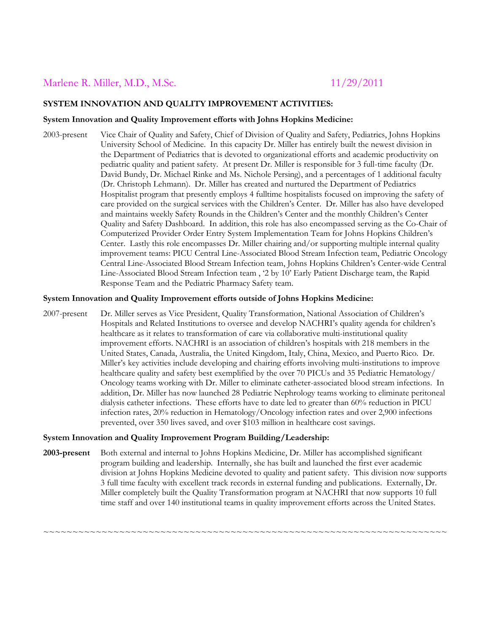# Marlene R. Miller, M.D., M.Sc. 11/29/2011

### **SYSTEM INNOVATION AND QUALITY IMPROVEMENT ACTIVITIES:**

#### **System Innovation and Quality Improvement efforts with Johns Hopkins Medicine:**

2003-present Vice Chair of Quality and Safety, Chief of Division of Quality and Safety, Pediatrics, Johns Hopkins University School of Medicine. In this capacity Dr. Miller has entirely built the newest division in the Department of Pediatrics that is devoted to organizational efforts and academic productivity on pediatric quality and patient safety. At present Dr. Miller is responsible for 3 full-time faculty (Dr. David Bundy, Dr. Michael Rinke and Ms. Nichole Persing), and a percentages of 1 additional faculty (Dr. Christoph Lehmann). Dr. Miller has created and nurtured the Department of Pediatrics Hospitalist program that presently employs 4 fulltime hospitalists focused on improving the safety of care provided on the surgical services with the Children's Center. Dr. Miller has also have developed and maintains weekly Safety Rounds in the Children's Center and the monthly Children's Center Quality and Safety Dashboard. In addition, this role has also encompassed serving as the Co-Chair of Computerized Provider Order Entry System Implementation Team for Johns Hopkins Children's Center. Lastly this role encompasses Dr. Miller chairing and/or supporting multiple internal quality improvement teams: PICU Central Line-Associated Blood Stream Infection team, Pediatric Oncology Central Line-Associated Blood Stream Infection team, Johns Hopkins Children's Center-wide Central Line-Associated Blood Stream Infection team , '2 by 10' Early Patient Discharge team, the Rapid Response Team and the Pediatric Pharmacy Safety team.

#### **System Innovation and Quality Improvement efforts outside of Johns Hopkins Medicine:**

2007-present Dr. Miller serves as Vice President, Quality Transformation, National Association of Children's Hospitals and Related Institutions to oversee and develop NACHRI's quality agenda for children's healthcare as it relates to transformation of care via collaborative multi-institutional quality improvement efforts. NACHRI is an association of children's hospitals with 218 members in the United States, Canada, Australia, the United Kingdom, Italy, China, Mexico, and Puerto Rico. Dr. Miller's key activities include developing and chairing efforts involving multi-institutions to improve healthcare quality and safety best exemplified by the over 70 PICUs and 35 Pediatric Hematology/ Oncology teams working with Dr. Miller to eliminate catheter-associated blood stream infections. In addition, Dr. Miller has now launched 28 Pediatric Nephrology teams working to eliminate peritoneal dialysis catheter infections. These efforts have to date led to greater than 60% reduction in PICU infection rates, 20% reduction in Hematology/Oncology infection rates and over 2,900 infections prevented, over 350 lives saved, and over \$103 million in healthcare cost savings.

### **System Innovation and Quality Improvement Program Building/Leadership:**

**2003-present** Both external and internal to Johns Hopkins Medicine, Dr. Miller has accomplished significant program building and leadership. Internally, she has built and launched the first ever academic division at Johns Hopkins Medicine devoted to quality and patient safety. This division now supports 3 full time faculty with excellent track records in external funding and publications. Externally, Dr. Miller completely built the Quality Transformation program at NACHRI that now supports 10 full time staff and over 140 institutional teams in quality improvement efforts across the United States.

~~~~~~~~~~~~~~~~~~~~~~~~~~~~~~~~~~~~~~~~~~~~~~~~~~~~~~~~~~~~~~~~~~~~~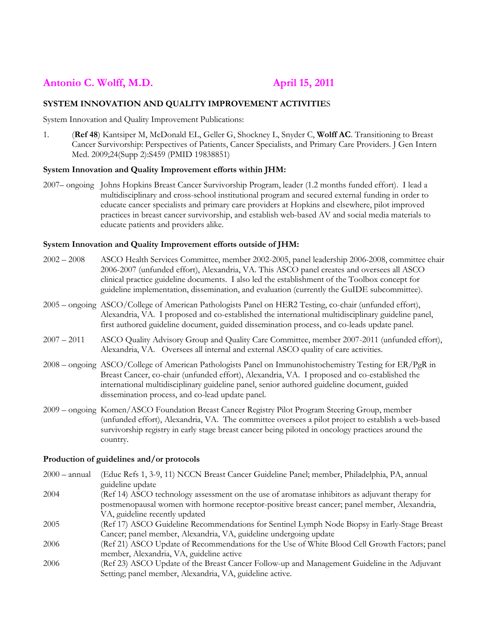# **Antonio C. Wolff, M.D. April 15, 2011**

### **SYSTEM INNOVATION AND QUALITY IMPROVEMENT ACTIVITIE**S

System Innovation and Quality Improvement Publications:

1. (**Ref 48**) Kantsiper M, McDonald EL, Geller G, Shockney L, Snyder C, **Wolff AC**. Transitioning to Breast Cancer Survivorship: Perspectives of Patients, Cancer Specialists, and Primary Care Providers. J Gen Intern Med. 2009;24(Supp 2):S459 (PMID 19838851)

#### **System Innovation and Quality Improvement efforts within JHM:**

2007– ongoing Johns Hopkins Breast Cancer Survivorship Program, leader (1.2 months funded effort). I lead a multidisciplinary and cross-school institutional program and secured external funding in order to educate cancer specialists and primary care providers at Hopkins and elsewhere, pilot improved practices in breast cancer survivorship, and establish web-based AV and social media materials to educate patients and providers alike.

#### **System Innovation and Quality Improvement efforts outside of JHM:**

| $2002 - 2008$ | ASCO Health Services Committee, member 2002-2005, panel leadership 2006-2008, committee chair<br>2006-2007 (unfunded effort), Alexandria, VA. This ASCO panel creates and oversees all ASCO<br>clinical practice guideline documents. I also led the establishment of the Toolbox concept for<br>guideline implementation, dissemination, and evaluation (currently the GuIDE subcommittee). |
|---------------|----------------------------------------------------------------------------------------------------------------------------------------------------------------------------------------------------------------------------------------------------------------------------------------------------------------------------------------------------------------------------------------------|
|               | 2005 – ongoing ASCO/College of American Pathologists Panel on HER2 Testing, co-chair (unfunded effort),<br>Alexandria, VA. I proposed and co-established the international multidisciplinary guideline panel,<br>first authored guideline document, guided dissemination process, and co-leads update panel.                                                                                 |
| $2007 - 2011$ | ASCO Quality Advisory Group and Quality Care Committee, member 2007-2011 (unfunded effort),<br>Alexandria, VA. Oversees all internal and external ASCO quality of care activities.                                                                                                                                                                                                           |
|               | 2008 – ongoing ASCO/College of American Pathologists Panel on Immunohistochemistry Testing for ER/PgR in<br>Breast Cancer, co-chair (unfunded effort), Alexandria, VA. I proposed and co-established the<br>international multidisciplinary guideline panel, senior authored guideline document, guided<br>dissemination process, and co-lead update panel.                                  |
|               | 2009 - ongoing Komen/ASCO Foundation Breast Cancer Registry Pilot Program Steering Group, member<br>(unfunded effort), Alexandria, VA. The committee oversees a pilot project to establish a web-based<br>survivorship registry in early stage breast cancer being piloted in oncology practices around the<br>country.                                                                      |
|               | Production of guidelines and/or protocols                                                                                                                                                                                                                                                                                                                                                    |
|               | 2000 - annual (Educ Refs 1, 3-9, 11) NCCN Breast Cancer Guideline Panel: member, Philadelphia, PA, annual                                                                                                                                                                                                                                                                                    |

| $2000 - \text{annual}$ | (Educ Refs 1, 3-9, 11) NCCN Breast Cancer Guideline Panel; member, Philadelphia, PA, annual    |
|------------------------|------------------------------------------------------------------------------------------------|
|                        | guideline update                                                                               |
| 2004                   | (Ref 14) ASCO technology assessment on the use of aromatase inhibitors as adjuvant therapy for |
|                        | postmenopausal women with hormone receptor-positive breast cancer; panel member, Alexandria,   |
|                        | VA, guideline recently updated                                                                 |
| 2005                   | (Ref 17) ASCO Guideline Recommendations for Sentinel Lymph Node Biopsy in Early-Stage Breast   |
|                        | Cancer; panel member, Alexandria, VA, guideline undergoing update                              |
| 2006                   | (Ref 21) ASCO Update of Recommendations for the Use of White Blood Cell Growth Factors; panel  |
|                        | member, Alexandria, VA, guideline active                                                       |
| 2006                   | (Ref 23) ASCO Update of the Breast Cancer Follow-up and Management Guideline in the Adjuvant   |
|                        | Setting; panel member, Alexandria, VA, guideline active.                                       |